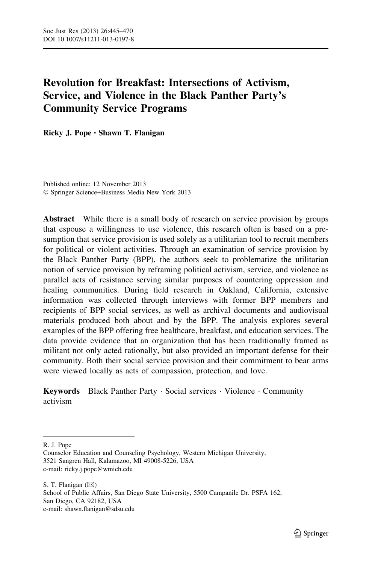# Revolution for Breakfast: Intersections of Activism, Service, and Violence in the Black Panther Party's Community Service Programs

Ricky J. Pope • Shawn T. Flanigan

Published online: 12 November 2013 - Springer Science+Business Media New York 2013

Abstract While there is a small body of research on service provision by groups that espouse a willingness to use violence, this research often is based on a presumption that service provision is used solely as a utilitarian tool to recruit members for political or violent activities. Through an examination of service provision by the Black Panther Party (BPP), the authors seek to problematize the utilitarian notion of service provision by reframing political activism, service, and violence as parallel acts of resistance serving similar purposes of countering oppression and healing communities. During field research in Oakland, California, extensive information was collected through interviews with former BPP members and recipients of BPP social services, as well as archival documents and audiovisual materials produced both about and by the BPP. The analysis explores several examples of the BPP offering free healthcare, breakfast, and education services. The data provide evidence that an organization that has been traditionally framed as militant not only acted rationally, but also provided an important defense for their community. Both their social service provision and their commitment to bear arms were viewed locally as acts of compassion, protection, and love.

Keywords Black Panther Party · Social services · Violence · Community activism

R. J. Pope

S. T. Flanigan  $(\boxtimes)$ School of Public Affairs, San Diego State University, 5500 Campanile Dr. PSFA 162, San Diego, CA 92182, USA e-mail: shawn.flanigan@sdsu.edu

Counselor Education and Counseling Psychology, Western Michigan University, 3521 Sangren Hall, Kalamazoo, MI 49008-5226, USA e-mail: ricky.j.pope@wmich.edu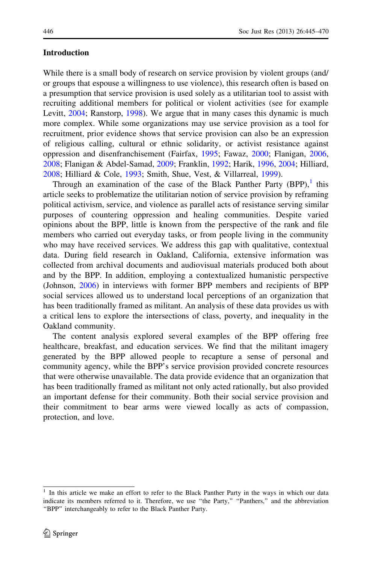#### Introduction

While there is a small body of research on service provision by violent groups (and/ or groups that espouse a willingness to use violence), this research often is based on a presumption that service provision is used solely as a utilitarian tool to assist with recruiting additional members for political or violent activities (see for example Levitt, [2004;](#page-24-0) Ranstorp, [1998\)](#page-24-0). We argue that in many cases this dynamic is much more complex. While some organizations may use service provision as a tool for recruitment, prior evidence shows that service provision can also be an expression of religious calling, cultural or ethnic solidarity, or activist resistance against oppression and disenfranchisement (Fairfax, [1995;](#page-23-0) Fawaz, [2000](#page-23-0); Flanigan, [2006,](#page-23-0) [2008;](#page-23-0) Flanigan & Abdel-Samad, [2009](#page-23-0); Franklin, [1992](#page-23-0); Harik, [1996,](#page-23-0) [2004](#page-23-0); Hilliard, [2008;](#page-24-0) Hilliard & Cole, [1993](#page-24-0); Smith, Shue, Vest, & Villarreal, [1999\)](#page-25-0).

Through an examination of the case of the Black Panther Party  $(BPP)$ , this article seeks to problematize the utilitarian notion of service provision by reframing political activism, service, and violence as parallel acts of resistance serving similar purposes of countering oppression and healing communities. Despite varied opinions about the BPP, little is known from the perspective of the rank and file members who carried out everyday tasks, or from people living in the community who may have received services. We address this gap with qualitative, contextual data. During field research in Oakland, California, extensive information was collected from archival documents and audiovisual materials produced both about and by the BPP. In addition, employing a contextualized humanistic perspective (Johnson, [2006\)](#page-24-0) in interviews with former BPP members and recipients of BPP social services allowed us to understand local perceptions of an organization that has been traditionally framed as militant. An analysis of these data provides us with a critical lens to explore the intersections of class, poverty, and inequality in the Oakland community.

The content analysis explored several examples of the BPP offering free healthcare, breakfast, and education services. We find that the militant imagery generated by the BPP allowed people to recapture a sense of personal and community agency, while the BPP's service provision provided concrete resources that were otherwise unavailable. The data provide evidence that an organization that has been traditionally framed as militant not only acted rationally, but also provided an important defense for their community. Both their social service provision and their commitment to bear arms were viewed locally as acts of compassion, protection, and love.

<sup>1</sup> In this article we make an effort to refer to the Black Panther Party in the ways in which our data indicate its members referred to it. Therefore, we use "the Party," "Panthers," and the abbreviation ''BPP'' interchangeably to refer to the Black Panther Party.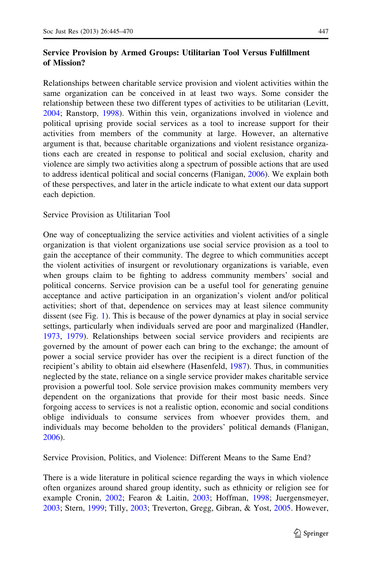# Service Provision by Armed Groups: Utilitarian Tool Versus Fulfillment of Mission?

Relationships between charitable service provision and violent activities within the same organization can be conceived in at least two ways. Some consider the relationship between these two different types of activities to be utilitarian (Levitt, [2004;](#page-24-0) Ranstorp, [1998\)](#page-24-0). Within this vein, organizations involved in violence and political uprising provide social services as a tool to increase support for their activities from members of the community at large. However, an alternative argument is that, because charitable organizations and violent resistance organizations each are created in response to political and social exclusion, charity and violence are simply two activities along a spectrum of possible actions that are used to address identical political and social concerns (Flanigan, [2006\)](#page-23-0). We explain both of these perspectives, and later in the article indicate to what extent our data support each depiction.

Service Provision as Utilitarian Tool

One way of conceptualizing the service activities and violent activities of a single organization is that violent organizations use social service provision as a tool to gain the acceptance of their community. The degree to which communities accept the violent activities of insurgent or revolutionary organizations is variable, even when groups claim to be fighting to address community members' social and political concerns. Service provision can be a useful tool for generating genuine acceptance and active participation in an organization's violent and/or political activities; short of that, dependence on services may at least silence community dissent (see Fig. [1\)](#page-3-0). This is because of the power dynamics at play in social service settings, particularly when individuals served are poor and marginalized (Handler, [1973,](#page-23-0) [1979\)](#page-23-0). Relationships between social service providers and recipients are governed by the amount of power each can bring to the exchange; the amount of power a social service provider has over the recipient is a direct function of the recipient's ability to obtain aid elsewhere (Hasenfeld, [1987\)](#page-23-0). Thus, in communities neglected by the state, reliance on a single service provider makes charitable service provision a powerful tool. Sole service provision makes community members very dependent on the organizations that provide for their most basic needs. Since forgoing access to services is not a realistic option, economic and social conditions oblige individuals to consume services from whoever provides them, and individuals may become beholden to the providers' political demands (Flanigan, [2006\)](#page-23-0).

Service Provision, Politics, and Violence: Different Means to the Same End?

There is a wide literature in political science regarding the ways in which violence often organizes around shared group identity, such as ethnicity or religion see for example Cronin, [2002;](#page-23-0) Fearon & Laitin, [2003;](#page-23-0) Hoffman, [1998](#page-24-0); Juergensmeyer, [2003;](#page-24-0) Stern, [1999](#page-25-0); Tilly, [2003](#page-25-0); Treverton, Gregg, Gibran, & Yost, [2005.](#page-25-0) However,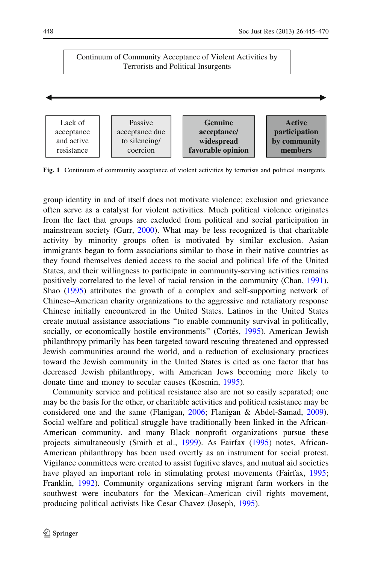# <span id="page-3-0"></span>Continuum of Community Acceptance of Violent Activities by Terrorists and Political Insurgents



Fig. 1 Continuum of community acceptance of violent activities by terrorists and political insurgents

group identity in and of itself does not motivate violence; exclusion and grievance often serve as a catalyst for violent activities. Much political violence originates from the fact that groups are excluded from political and social participation in mainstream society (Gurr, [2000\)](#page-23-0). What may be less recognized is that charitable activity by minority groups often is motivated by similar exclusion. Asian immigrants began to form associations similar to those in their native countries as they found themselves denied access to the social and political life of the United States, and their willingness to participate in community-serving activities remains positively correlated to the level of racial tension in the community (Chan, [1991\)](#page-23-0). Shao ([1995\)](#page-24-0) attributes the growth of a complex and self-supporting network of Chinese–American charity organizations to the aggressive and retaliatory response Chinese initially encountered in the United States. Latinos in the United States create mutual assistance associations ''to enable community survival in politically, socially, or economically hostile environments" (Cortés, [1995](#page-23-0)). American Jewish philanthropy primarily has been targeted toward rescuing threatened and oppressed Jewish communities around the world, and a reduction of exclusionary practices toward the Jewish community in the United States is cited as one factor that has decreased Jewish philanthropy, with American Jews becoming more likely to donate time and money to secular causes (Kosmin, [1995\)](#page-24-0).

Community service and political resistance also are not so easily separated; one may be the basis for the other, or charitable activities and political resistance may be considered one and the same (Flanigan, [2006](#page-23-0); Flanigan & Abdel-Samad, [2009\)](#page-23-0). Social welfare and political struggle have traditionally been linked in the African-American community, and many Black nonprofit organizations pursue these projects simultaneously (Smith et al., [1999](#page-25-0)). As Fairfax ([1995\)](#page-23-0) notes, African-American philanthropy has been used overtly as an instrument for social protest. Vigilance committees were created to assist fugitive slaves, and mutual aid societies have played an important role in stimulating protest movements (Fairfax, [1995;](#page-23-0) Franklin, [1992](#page-23-0)). Community organizations serving migrant farm workers in the southwest were incubators for the Mexican–American civil rights movement, producing political activists like Cesar Chavez (Joseph, [1995](#page-24-0)).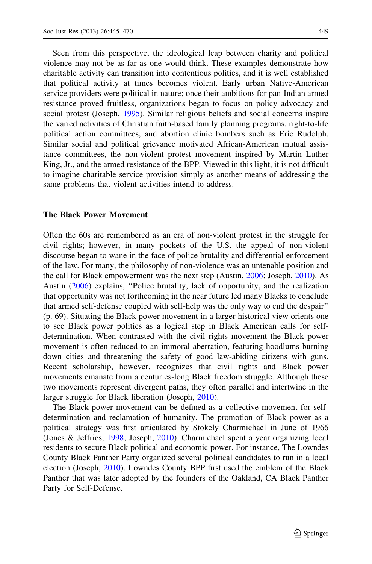Seen from this perspective, the ideological leap between charity and political violence may not be as far as one would think. These examples demonstrate how charitable activity can transition into contentious politics, and it is well established that political activity at times becomes violent. Early urban Native-American service providers were political in nature; once their ambitions for pan-Indian armed resistance proved fruitless, organizations began to focus on policy advocacy and social protest (Joseph, [1995](#page-24-0)). Similar religious beliefs and social concerns inspire the varied activities of Christian faith-based family planning programs, right-to-life political action committees, and abortion clinic bombers such as Eric Rudolph. Similar social and political grievance motivated African-American mutual assistance committees, the non-violent protest movement inspired by Martin Luther King, Jr., and the armed resistance of the BPP. Viewed in this light, it is not difficult to imagine charitable service provision simply as another means of addressing the same problems that violent activities intend to address.

#### The Black Power Movement

Often the 60s are remembered as an era of non-violent protest in the struggle for civil rights; however, in many pockets of the U.S. the appeal of non-violent discourse began to wane in the face of police brutality and differential enforcement of the law. For many, the philosophy of non-violence was an untenable position and the call for Black empowerment was the next step (Austin, [2006;](#page-23-0) Joseph, [2010\)](#page-24-0). As Austin ([2006\)](#page-23-0) explains, ''Police brutality, lack of opportunity, and the realization that opportunity was not forthcoming in the near future led many Blacks to conclude that armed self-defense coupled with self-help was the only way to end the despair'' (p. 69). Situating the Black power movement in a larger historical view orients one to see Black power politics as a logical step in Black American calls for selfdetermination. When contrasted with the civil rights movement the Black power movement is often reduced to an immoral aberration, featuring hoodlums burning down cities and threatening the safety of good law-abiding citizens with guns. Recent scholarship, however. recognizes that civil rights and Black power movements emanate from a centuries-long Black freedom struggle. Although these two movements represent divergent paths, they often parallel and intertwine in the larger struggle for Black liberation (Joseph, [2010](#page-24-0)).

The Black power movement can be defined as a collective movement for selfdetermination and reclamation of humanity. The promotion of Black power as a political strategy was first articulated by Stokely Charmichael in June of 1966 (Jones & Jeffries, [1998](#page-24-0); Joseph, [2010\)](#page-24-0). Charmichael spent a year organizing local residents to secure Black political and economic power. For instance, The Lowndes County Black Panther Party organized several political candidates to run in a local election (Joseph, [2010\)](#page-24-0). Lowndes County BPP first used the emblem of the Black Panther that was later adopted by the founders of the Oakland, CA Black Panther Party for Self-Defense.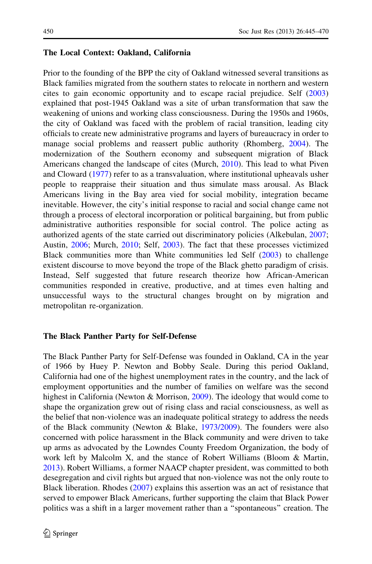# The Local Context: Oakland, California

Prior to the founding of the BPP the city of Oakland witnessed several transitions as Black families migrated from the southern states to relocate in northern and western cites to gain economic opportunity and to escape racial prejudice. Self [\(2003](#page-24-0)) explained that post-1945 Oakland was a site of urban transformation that saw the weakening of unions and working class consciousness. During the 1950s and 1960s, the city of Oakland was faced with the problem of racial transition, leading city officials to create new administrative programs and layers of bureaucracy in order to manage social problems and reassert public authority (Rhomberg, [2004](#page-24-0)). The modernization of the Southern economy and subsequent migration of Black Americans changed the landscape of cites (Murch, [2010\)](#page-24-0). This lead to what Piven and Cloward ([1977](#page-24-0)) refer to as a transvaluation, where institutional upheavals usher people to reappraise their situation and thus simulate mass arousal. As Black Americans living in the Bay area vied for social mobility, integration became inevitable. However, the city's initial response to racial and social change came not through a process of electoral incorporation or political bargaining, but from public administrative authorities responsible for social control. The police acting as authorized agents of the state carried out discriminatory policies (Alkebulan, [2007;](#page-23-0) Austin, [2006;](#page-23-0) Murch, [2010;](#page-24-0) Self, [2003\)](#page-24-0). The fact that these processes victimized Black communities more than White communities led Self [\(2003](#page-24-0)) to challenge existent discourse to move beyond the trope of the Black ghetto paradigm of crisis. Instead, Self suggested that future research theorize how African-American communities responded in creative, productive, and at times even halting and unsuccessful ways to the structural changes brought on by migration and metropolitan re-organization.

# The Black Panther Party for Self-Defense

The Black Panther Party for Self-Defense was founded in Oakland, CA in the year of 1966 by Huey P. Newton and Bobby Seale. During this period Oakland, California had one of the highest unemployment rates in the country, and the lack of employment opportunities and the number of families on welfare was the second highest in California (Newton & Morrison, [2009\)](#page-24-0). The ideology that would come to shape the organization grew out of rising class and racial consciousness, as well as the belief that non-violence was an inadequate political strategy to address the needs of the Black community (Newton & Blake, [1973/2009](#page-24-0)). The founders were also concerned with police harassment in the Black community and were driven to take up arms as advocated by the Lowndes County Freedom Organization, the body of work left by Malcolm X, and the stance of Robert Williams (Bloom & Martin, [2013\)](#page-23-0). Robert Williams, a former NAACP chapter president, was committed to both desegregation and civil rights but argued that non-violence was not the only route to Black liberation. Rhodes [\(2007\)](#page-24-0) explains this assertion was an act of resistance that served to empower Black Americans, further supporting the claim that Black Power politics was a shift in a larger movement rather than a ''spontaneous'' creation. The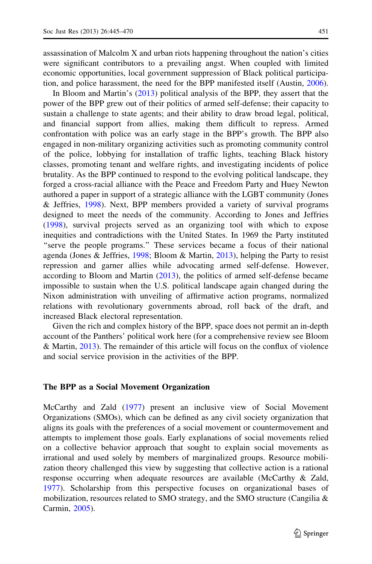assassination of Malcolm X and urban riots happening throughout the nation's cities were significant contributors to a prevailing angst. When coupled with limited economic opportunities, local government suppression of Black political participation, and police harassment, the need for the BPP manifested itself (Austin, [2006\)](#page-23-0).

In Bloom and Martin's ([2013\)](#page-23-0) political analysis of the BPP, they assert that the power of the BPP grew out of their politics of armed self-defense; their capacity to sustain a challenge to state agents; and their ability to draw broad legal, political, and financial support from allies, making them difficult to repress. Armed confrontation with police was an early stage in the BPP's growth. The BPP also engaged in non-military organizing activities such as promoting community control of the police, lobbying for installation of traffic lights, teaching Black history classes, promoting tenant and welfare rights, and investigating incidents of police brutality. As the BPP continued to respond to the evolving political landscape, they forged a cross-racial alliance with the Peace and Freedom Party and Huey Newton authored a paper in support of a strategic alliance with the LGBT community (Jones & Jeffries, [1998\)](#page-24-0). Next, BPP members provided a variety of survival programs designed to meet the needs of the community. According to Jones and Jeffries [\(1998](#page-24-0)), survival projects served as an organizing tool with which to expose inequities and contradictions with the United States. In 1969 the Party instituted "serve the people programs." These services became a focus of their national agenda (Jones & Jeffries, [1998](#page-24-0); Bloom & Martin, [2013\)](#page-23-0), helping the Party to resist repression and garner allies while advocating armed self-defense. However, according to Bloom and Martin ([2013\)](#page-23-0), the politics of armed self-defense became impossible to sustain when the U.S. political landscape again changed during the Nixon administration with unveiling of affirmative action programs, normalized relations with revolutionary governments abroad, roll back of the draft, and increased Black electoral representation.

Given the rich and complex history of the BPP, space does not permit an in-depth account of the Panthers' political work here (for a comprehensive review see Bloom & Martin, [2013\)](#page-23-0). The remainder of this article will focus on the conflux of violence and social service provision in the activities of the BPP.

#### The BPP as a Social Movement Organization

McCarthy and Zald ([1977\)](#page-24-0) present an inclusive view of Social Movement Organizations (SMOs), which can be defined as any civil society organization that aligns its goals with the preferences of a social movement or countermovement and attempts to implement those goals. Early explanations of social movements relied on a collective behavior approach that sought to explain social movements as irrational and used solely by members of marginalized groups. Resource mobilization theory challenged this view by suggesting that collective action is a rational response occurring when adequate resources are available (McCarthy & Zald, [1977\)](#page-24-0). Scholarship from this perspective focuses on organizational bases of mobilization, resources related to SMO strategy, and the SMO structure (Cangilia  $\&$ Carmin, [2005\)](#page-23-0).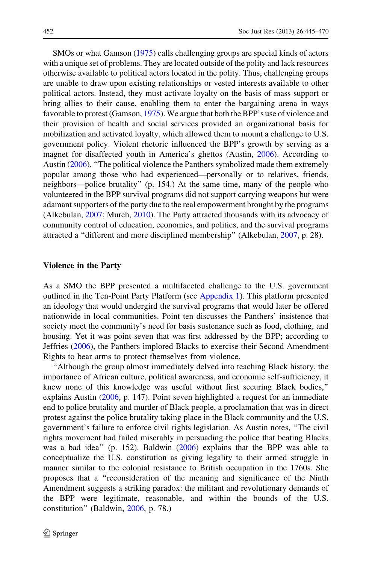SMOs or what Gamson ([1975\)](#page-23-0) calls challenging groups are special kinds of actors with a unique set of problems. They are located outside of the polity and lack resources otherwise available to political actors located in the polity. Thus, challenging groups are unable to draw upon existing relationships or vested interests available to other political actors. Instead, they must activate loyalty on the basis of mass support or bring allies to their cause, enabling them to enter the bargaining arena in ways favorable to protest (Gamson, [1975\)](#page-23-0). We argue that both the BPP's use of violence and their provision of health and social services provided an organizational basis for mobilization and activated loyalty, which allowed them to mount a challenge to U.S. government policy. Violent rhetoric influenced the BPP's growth by serving as a magnet for disaffected youth in America's ghettos (Austin, [2006\)](#page-23-0). According to Austin ([2006\)](#page-23-0), ''The political violence the Panthers symbolized made them extremely popular among those who had experienced—personally or to relatives, friends, neighbors—police brutality'' (p. 154.) At the same time, many of the people who volunteered in the BPP survival programs did not support carrying weapons but were adamant supporters of the party due to the real empowerment brought by the programs (Alkebulan, [2007;](#page-23-0) Murch, [2010\)](#page-24-0). The Party attracted thousands with its advocacy of community control of education, economics, and politics, and the survival programs attracted a ''different and more disciplined membership'' (Alkebulan, [2007,](#page-23-0) p. 28).

#### Violence in the Party

As a SMO the BPP presented a multifaceted challenge to the U.S. government outlined in the Ten-Point Party Platform (see [Appendix 1](#page-21-0)). This platform presented an ideology that would undergird the survival programs that would later be offered nationwide in local communities. Point ten discusses the Panthers' insistence that society meet the community's need for basis sustenance such as food, clothing, and housing. Yet it was point seven that was first addressed by the BPP; according to Jeffries ([2006\)](#page-24-0), the Panthers implored Blacks to exercise their Second Amendment Rights to bear arms to protect themselves from violence.

''Although the group almost immediately delved into teaching Black history, the importance of African culture, political awareness, and economic self-sufficiency, it knew none of this knowledge was useful without first securing Black bodies,'' explains Austin [\(2006](#page-23-0), p. 147). Point seven highlighted a request for an immediate end to police brutality and murder of Black people, a proclamation that was in direct protest against the police brutality taking place in the Black community and the U.S. government's failure to enforce civil rights legislation. As Austin notes, ''The civil rights movement had failed miserably in persuading the police that beating Blacks was a bad idea'' (p. 152). Baldwin ([2006\)](#page-23-0) explains that the BPP was able to conceptualize the U.S. constitution as giving legality to their armed struggle in manner similar to the colonial resistance to British occupation in the 1760s. She proposes that a ''reconsideration of the meaning and significance of the Ninth Amendment suggests a striking paradox: the militant and revolutionary demands of the BPP were legitimate, reasonable, and within the bounds of the U.S. constitution'' (Baldwin, [2006](#page-23-0), p. 78.)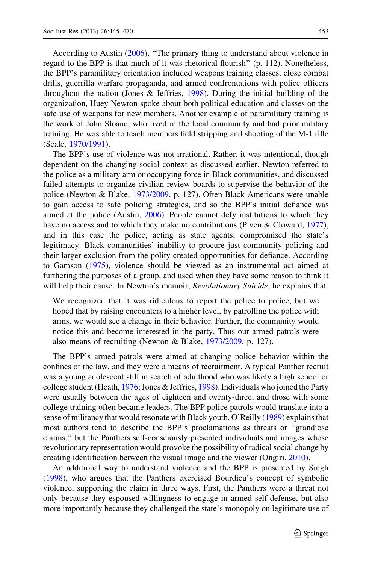According to Austin ([2006\)](#page-23-0), ''The primary thing to understand about violence in regard to the BPP is that much of it was rhetorical flourish'' (p. 112). Nonetheless, the BPP's paramilitary orientation included weapons training classes, close combat drills, guerrilla warfare propaganda, and armed confrontations with police officers throughout the nation (Jones  $\&$  Jeffries, [1998\)](#page-24-0). During the initial building of the organization, Huey Newton spoke about both political education and classes on the safe use of weapons for new members. Another example of paramilitary training is the work of John Sloane, who lived in the local community and had prior military

training. He was able to teach members field stripping and shooting of the M-1 rifle

(Seale, [1970/1991\)](#page-24-0). The BPP's use of violence was not irrational. Rather, it was intentional, though dependent on the changing social context as discussed earlier. Newton referred to the police as a military arm or occupying force in Black communities, and discussed failed attempts to organize civilian review boards to supervise the behavior of the police (Newton & Blake, [1973/2009,](#page-24-0) p. 127). Often Black Americans were unable to gain access to safe policing strategies, and so the BPP's initial defiance was aimed at the police (Austin, [2006\)](#page-23-0). People cannot defy institutions to which they have no access and to which they make no contributions (Piven & Cloward, [1977\)](#page-24-0), and in this case the police, acting as state agents, compromised the state's legitimacy. Black communities' inability to procure just community policing and their larger exclusion from the polity created opportunities for defiance. According to Gamson ([1975\)](#page-23-0), violence should be viewed as an instrumental act aimed at furthering the purposes of a group, and used when they have some reason to think it will help their cause. In Newton's memoir, *Revolutionary Suicide*, he explains that:

We recognized that it was ridiculous to report the police to police, but we hoped that by raising encounters to a higher level, by patrolling the police with arms, we would see a change in their behavior. Further, the community would notice this and become interested in the party. Thus our armed patrols were also means of recruiting (Newton & Blake, [1973/2009,](#page-24-0) p. 127).

The BPP's armed patrols were aimed at changing police behavior within the confines of the law, and they were a means of recruitment. A typical Panther recruit was a young adolescent still in search of adulthood who was likely a high school or college student (Heath, [1976](#page-23-0); Jones & Jeffries, [1998](#page-24-0)). Individuals who joined the Party were usually between the ages of eighteen and twenty-three, and those with some college training often became leaders. The BPP police patrols would translate into a sense of militancy that would resonate with Black youth. O'Reilly [\(1989](#page-24-0)) explains that most authors tend to describe the BPP's proclamations as threats or ''grandiose claims,'' but the Panthers self-consciously presented individuals and images whose revolutionary representation would provoke the possibility of radical social change by creating identification between the visual image and the viewer (Ongiri, [2010](#page-24-0)).

An additional way to understand violence and the BPP is presented by Singh [\(1998](#page-24-0)), who argues that the Panthers exercised Bourdieu's concept of symbolic violence, supporting the claim in three ways. First, the Panthers were a threat not only because they espoused willingness to engage in armed self-defense, but also more importantly because they challenged the state's monopoly on legitimate use of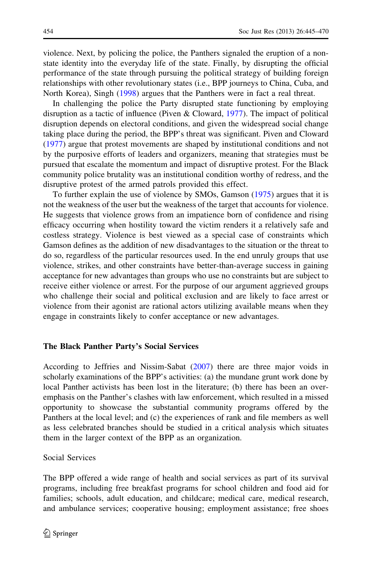violence. Next, by policing the police, the Panthers signaled the eruption of a nonstate identity into the everyday life of the state. Finally, by disrupting the official performance of the state through pursuing the political strategy of building foreign relationships with other revolutionary states (i.e., BPP journeys to China, Cuba, and North Korea), Singh [\(1998](#page-24-0)) argues that the Panthers were in fact a real threat.

In challenging the police the Party disrupted state functioning by employing disruption as a tactic of influence (Piven & Cloward, [1977](#page-24-0)). The impact of political disruption depends on electoral conditions, and given the widespread social change taking place during the period, the BPP's threat was significant. Piven and Cloward [\(1977](#page-24-0)) argue that protest movements are shaped by institutional conditions and not by the purposive efforts of leaders and organizers, meaning that strategies must be pursued that escalate the momentum and impact of disruptive protest. For the Black community police brutality was an institutional condition worthy of redress, and the disruptive protest of the armed patrols provided this effect.

To further explain the use of violence by SMOs, Gamson [\(1975](#page-23-0)) argues that it is not the weakness of the user but the weakness of the target that accounts for violence. He suggests that violence grows from an impatience born of confidence and rising efficacy occurring when hostility toward the victim renders it a relatively safe and costless strategy. Violence is best viewed as a special case of constraints which Gamson defines as the addition of new disadvantages to the situation or the threat to do so, regardless of the particular resources used. In the end unruly groups that use violence, strikes, and other constraints have better-than-average success in gaining acceptance for new advantages than groups who use no constraints but are subject to receive either violence or arrest. For the purpose of our argument aggrieved groups who challenge their social and political exclusion and are likely to face arrest or violence from their agonist are rational actors utilizing available means when they engage in constraints likely to confer acceptance or new advantages.

#### The Black Panther Party's Social Services

According to Jeffries and Nissim-Sabat [\(2007](#page-24-0)) there are three major voids in scholarly examinations of the BPP's activities: (a) the mundane grunt work done by local Panther activists has been lost in the literature; (b) there has been an overemphasis on the Panther's clashes with law enforcement, which resulted in a missed opportunity to showcase the substantial community programs offered by the Panthers at the local level; and (c) the experiences of rank and file members as well as less celebrated branches should be studied in a critical analysis which situates them in the larger context of the BPP as an organization.

#### Social Services

The BPP offered a wide range of health and social services as part of its survival programs, including free breakfast programs for school children and food aid for families; schools, adult education, and childcare; medical care, medical research, and ambulance services; cooperative housing; employment assistance; free shoes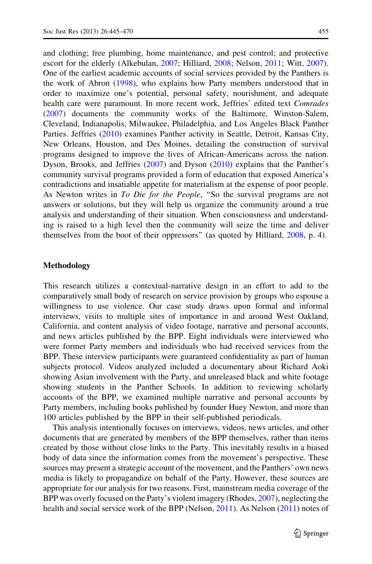and clothing; free plumbing, home maintenance, and pest control; and protective escort for the elderly (Alkebulan, [2007](#page-23-0); Hilliard, [2008](#page-24-0); Nelson, [2011;](#page-24-0) Witt, [2007\)](#page-25-0). One of the earliest academic accounts of social services provided by the Panthers is the work of Abron [\(1998](#page-23-0)), who explains how Party members understood that in order to maximize one's potential, personal safety, nourishment, and adequate health care were paramount. In more recent work, Jeffries' edited text Comrades [\(2007](#page-24-0)) documents the community works of the Baltimore, Winston-Salem, Cleveland, Indianapolis, Milwaukee, Philadelphia, and Los Angeles Black Panther Parties. Jeffries ([2010\)](#page-24-0) examines Panther activity in Seattle, Detroit, Kansas City, New Orleans, Houston, and Des Moines, detailing the construction of survival programs designed to improve the lives of African-Americans across the nation. Dyson, Brooks, and Jeffries [\(2007](#page-23-0)) and Dyson [\(2010](#page-23-0)) explains that the Panther's community survival programs provided a form of education that exposed America's contradictions and insatiable appetite for materialism at the expense of poor people. As Newton writes in To Die for the People, "So the survival programs are not answers or solutions, but they will help us organize the community around a true analysis and understanding of their situation. When consciousness and understanding is raised to a high level then the community will seize the time and deliver themselves from the boot of their oppressors'' (as quoted by Hilliard, [2008,](#page-24-0) p. 4).

### Methodology

This research utilizes a contextual-narrative design in an effort to add to the comparatively small body of research on service provision by groups who espouse a willingness to use violence. Our case study draws upon formal and informal interviews, visits to multiple sites of importance in and around West Oakland, California, and content analysis of video footage, narrative and personal accounts, and news articles published by the BPP. Eight individuals were interviewed who were former Party members and individuals who had received services from the BPP. These interview participants were guaranteed confidentiality as part of human subjects protocol. Videos analyzed included a documentary about Richard Aoki showing Asian involvement with the Party, and unreleased black and white footage showing students in the Panther Schools. In addition to reviewing scholarly accounts of the BPP, we examined multiple narrative and personal accounts by Party members, including books published by founder Huey Newton, and more than 100 articles published by the BPP in their self-published periodicals.

This analysis intentionally focuses on interviews, videos, news articles, and other documents that are generated by members of the BPP themselves, rather than items created by those without close links to the Party. This inevitably results in a biased body of data since the information comes from the movement's perspective. These sources may present a strategic account of the movement, and the Panthers' own news media is likely to propagandize on behalf of the Party. However, these sources are appropriate for our analysis for two reasons. First, mainstream media coverage of the BPP was overly focused on the Party's violent imagery (Rhodes, [2007](#page-24-0)), neglecting the health and social service work of the BPP (Nelson, [2011\)](#page-24-0). As Nelson ([2011\)](#page-24-0) notes of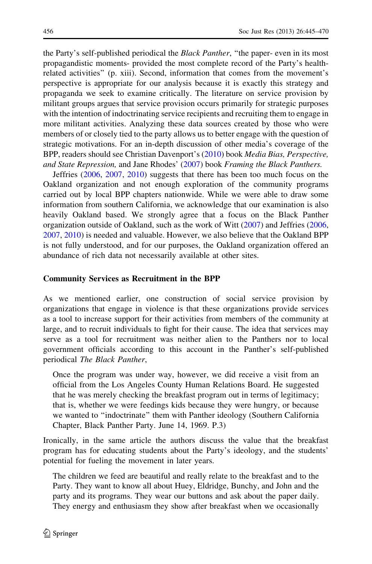the Party's self-published periodical the *Black Panther*, "the paper- even in its most propagandistic moments- provided the most complete record of the Party's healthrelated activities'' (p. xiii). Second, information that comes from the movement's perspective is appropriate for our analysis because it is exactly this strategy and propaganda we seek to examine critically. The literature on service provision by militant groups argues that service provision occurs primarily for strategic purposes with the intention of indoctrinating service recipients and recruiting them to engage in more militant activities. Analyzing these data sources created by those who were members of or closely tied to the party allows us to better engage with the question of strategic motivations. For an in-depth discussion of other media's coverage of the BPP, readers should see Christian Davenport's ([2010\)](#page-23-0) book Media Bias, Perspective, and State Repression, and Jane Rhodes' ([2007\)](#page-24-0) book Framing the Black Panthers.

Jeffries ([2006,](#page-24-0) [2007](#page-24-0), [2010](#page-24-0)) suggests that there has been too much focus on the Oakland organization and not enough exploration of the community programs carried out by local BPP chapters nationwide. While we were able to draw some information from southern California, we acknowledge that our examination is also heavily Oakland based. We strongly agree that a focus on the Black Panther organization outside of Oakland, such as the work of Witt [\(2007](#page-25-0)) and Jeffries ([2006,](#page-24-0) [2007,](#page-24-0) [2010\)](#page-24-0) is needed and valuable. However, we also believe that the Oakland BPP is not fully understood, and for our purposes, the Oakland organization offered an abundance of rich data not necessarily available at other sites.

### Community Services as Recruitment in the BPP

As we mentioned earlier, one construction of social service provision by organizations that engage in violence is that these organizations provide services as a tool to increase support for their activities from members of the community at large, and to recruit individuals to fight for their cause. The idea that services may serve as a tool for recruitment was neither alien to the Panthers nor to local government officials according to this account in the Panther's self-published periodical The Black Panther,

Once the program was under way, however, we did receive a visit from an official from the Los Angeles County Human Relations Board. He suggested that he was merely checking the breakfast program out in terms of legitimacy; that is, whether we were feedings kids because they were hungry, or because we wanted to ''indoctrinate'' them with Panther ideology (Southern California Chapter, Black Panther Party. June 14, 1969. P.3)

Ironically, in the same article the authors discuss the value that the breakfast program has for educating students about the Party's ideology, and the students' potential for fueling the movement in later years.

The children we feed are beautiful and really relate to the breakfast and to the Party. They want to know all about Huey, Eldridge, Bunchy, and John and the party and its programs. They wear our buttons and ask about the paper daily. They energy and enthusiasm they show after breakfast when we occasionally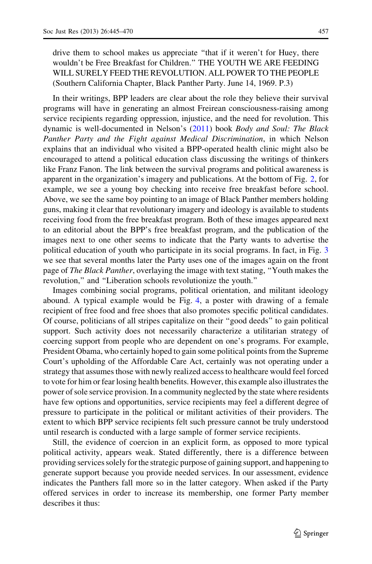drive them to school makes us appreciate "that if it weren't for Huey, there wouldn't be Free Breakfast for Children.'' THE YOUTH WE ARE FEEDING WILL SURELY FEED THE REVOLUTION. ALL POWER TO THE PEOPLE (Southern California Chapter, Black Panther Party. June 14, 1969. P.3)

In their writings, BPP leaders are clear about the role they believe their survival programs will have in generating an almost Freirean consciousness-raising among service recipients regarding oppression, injustice, and the need for revolution. This dynamic is well-documented in Nelson's ([2011\)](#page-24-0) book Body and Soul: The Black Panther Party and the Fight against Medical Discrimination, in which Nelson explains that an individual who visited a BPP-operated health clinic might also be encouraged to attend a political education class discussing the writings of thinkers like Franz Fanon. The link between the survival programs and political awareness is apparent in the organization's imagery and publications. At the bottom of Fig. [2,](#page-13-0) for example, we see a young boy checking into receive free breakfast before school. Above, we see the same boy pointing to an image of Black Panther members holding guns, making it clear that revolutionary imagery and ideology is available to students receiving food from the free breakfast program. Both of these images appeared next to an editorial about the BPP's free breakfast program, and the publication of the images next to one other seems to indicate that the Party wants to advertise the political education of youth who participate in its social programs. In fact, in Fig. [3](#page-14-0) we see that several months later the Party uses one of the images again on the front page of The Black Panther, overlaying the image with text stating, ''Youth makes the revolution,'' and ''Liberation schools revolutionize the youth.''

Images combining social programs, political orientation, and militant ideology abound. A typical example would be Fig. [4,](#page-15-0) a poster with drawing of a female recipient of free food and free shoes that also promotes specific political candidates. Of course, politicians of all stripes capitalize on their ''good deeds'' to gain political support. Such activity does not necessarily characterize a utilitarian strategy of coercing support from people who are dependent on one's programs. For example, President Obama, who certainly hoped to gain some political points from the Supreme Court's upholding of the Affordable Care Act, certainly was not operating under a strategy that assumes those with newly realized access to healthcare would feel forced to vote for him or fear losing health benefits. However, this example also illustrates the power of sole service provision. In a community neglected by the state where residents have few options and opportunities, service recipients may feel a different degree of pressure to participate in the political or militant activities of their providers. The extent to which BPP service recipients felt such pressure cannot be truly understood until research is conducted with a large sample of former service recipients.

Still, the evidence of coercion in an explicit form, as opposed to more typical political activity, appears weak. Stated differently, there is a difference between providing services solely for the strategic purpose of gaining support, and happening to generate support because you provide needed services. In our assessment, evidence indicates the Panthers fall more so in the latter category. When asked if the Party offered services in order to increase its membership, one former Party member describes it thus: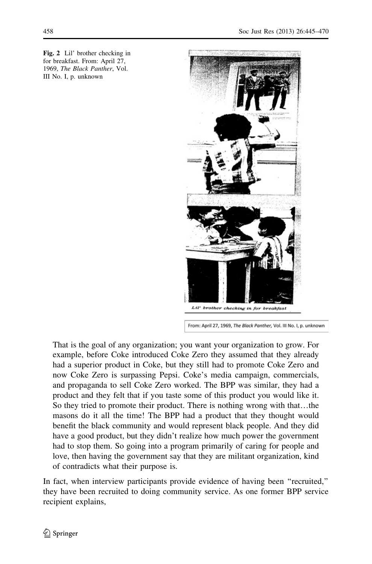<span id="page-13-0"></span>Fig. 2 Lil' brother checking in for breakfast. From: April 27, 1969, The Black Panther, Vol. III No. I, p. unknown



From: April 27, 1969, The Black Panther, Vol. III No. I, p. unknown

That is the goal of any organization; you want your organization to grow. For example, before Coke introduced Coke Zero they assumed that they already had a superior product in Coke, but they still had to promote Coke Zero and now Coke Zero is surpassing Pepsi. Coke's media campaign, commercials, and propaganda to sell Coke Zero worked. The BPP was similar, they had a product and they felt that if you taste some of this product you would like it. So they tried to promote their product. There is nothing wrong with that…the masons do it all the time! The BPP had a product that they thought would benefit the black community and would represent black people. And they did have a good product, but they didn't realize how much power the government had to stop them. So going into a program primarily of caring for people and love, then having the government say that they are militant organization, kind of contradicts what their purpose is.

In fact, when interview participants provide evidence of having been ''recruited,'' they have been recruited to doing community service. As one former BPP service recipient explains,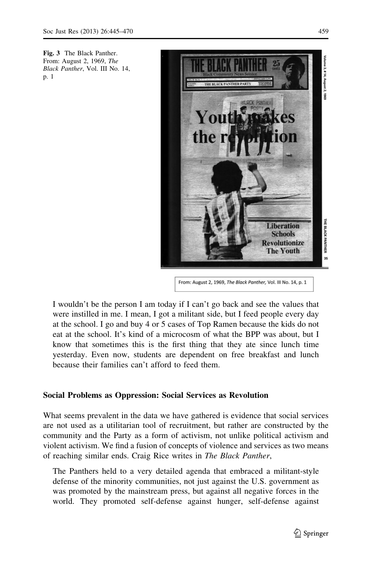<span id="page-14-0"></span>Fig. 3 The Black Panther. From: August 2, 1969, The Black Panther, Vol. III No. 14, p. 1



From: August 2, 1969, The Black Panther, Vol. III No. 14, p. 1

I wouldn't be the person I am today if I can't go back and see the values that were instilled in me. I mean, I got a militant side, but I feed people every day at the school. I go and buy 4 or 5 cases of Top Ramen because the kids do not eat at the school. It's kind of a microcosm of what the BPP was about, but I know that sometimes this is the first thing that they ate since lunch time yesterday. Even now, students are dependent on free breakfast and lunch because their families can't afford to feed them.

# Social Problems as Oppression: Social Services as Revolution

What seems prevalent in the data we have gathered is evidence that social services are not used as a utilitarian tool of recruitment, but rather are constructed by the community and the Party as a form of activism, not unlike political activism and violent activism. We find a fusion of concepts of violence and services as two means of reaching similar ends. Craig Rice writes in The Black Panther,

The Panthers held to a very detailed agenda that embraced a militant-style defense of the minority communities, not just against the U.S. government as was promoted by the mainstream press, but against all negative forces in the world. They promoted self-defense against hunger, self-defense against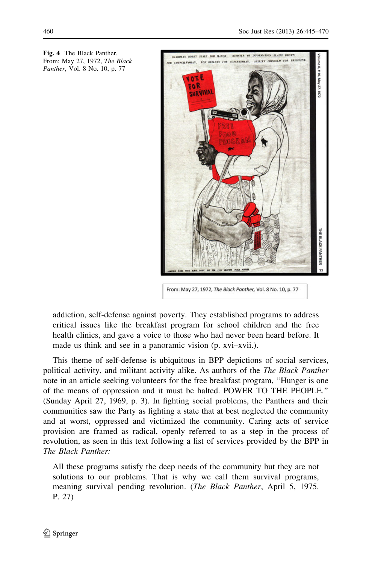

<span id="page-15-0"></span>Fig. 4 The Black Panther. From: May 27, 1972, The Black Panther, Vol. 8 No. 10, p. 77

From: May 27, 1972, The Black Panther, Vol. 8 No. 10, p. 77

addiction, self-defense against poverty. They established programs to address critical issues like the breakfast program for school children and the free health clinics, and gave a voice to those who had never been heard before. It made us think and see in a panoramic vision (p. xvi–xvii.).

This theme of self-defense is ubiquitous in BPP depictions of social services, political activity, and militant activity alike. As authors of the The Black Panther note in an article seeking volunteers for the free breakfast program, ''Hunger is one of the means of oppression and it must be halted. POWER TO THE PEOPLE.'' (Sunday April 27, 1969, p. 3). In fighting social problems, the Panthers and their communities saw the Party as fighting a state that at best neglected the community and at worst, oppressed and victimized the community. Caring acts of service provision are framed as radical, openly referred to as a step in the process of revolution, as seen in this text following a list of services provided by the BPP in The Black Panther:

All these programs satisfy the deep needs of the community but they are not solutions to our problems. That is why we call them survival programs, meaning survival pending revolution. (*The Black Panther*, April 5, 1975. P. 27)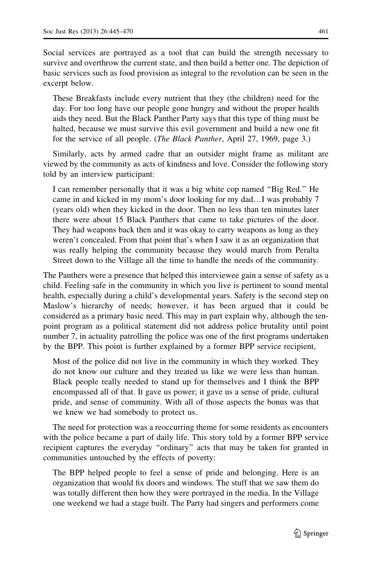Social services are portrayed as a tool that can build the strength necessary to survive and overthrow the current state, and then build a better one. The depiction of basic services such as food provision as integral to the revolution can be seen in the excerpt below.

These Breakfasts include every nutrient that they (the children) need for the day. For too long have our people gone hungry and without the proper health aids they need. But the Black Panther Party says that this type of thing must be halted, because we must survive this evil government and build a new one fit for the service of all people. (The Black Panther, April 27, 1969, page 3.)

Similarly, acts by armed cadre that an outsider might frame as militant are viewed by the community as acts of kindness and love. Consider the following story told by an interview participant:

I can remember personally that it was a big white cop named ''Big Red.'' He came in and kicked in my mom's door looking for my dad…I was probably 7 (years old) when they kicked in the door. Then no less than ten minutes later there were about 15 Black Panthers that came to take pictures of the door. They had weapons back then and it was okay to carry weapons as long as they weren't concealed. From that point that's when I saw it as an organization that was really helping the community because they would march from Peralta Street down to the Village all the time to handle the needs of the community.

The Panthers were a presence that helped this interviewee gain a sense of safety as a child. Feeling safe in the community in which you live is pertinent to sound mental health, especially during a child's developmental years. Safety is the second step on Maslow's hierarchy of needs; however, it has been argued that it could be considered as a primary basic need. This may in part explain why, although the tenpoint program as a political statement did not address police brutality until point number 7, in actuality patrolling the police was one of the first programs undertaken by the BPP. This point is further explained by a former BPP service recipient,

Most of the police did not live in the community in which they worked. They do not know our culture and they treated us like we were less than human. Black people really needed to stand up for themselves and I think the BPP encompassed all of that. It gave us power; it gave us a sense of pride, cultural pride, and sense of community. With all of those aspects the bonus was that we knew we had somebody to protect us.

The need for protection was a reoccurring theme for some residents as encounters with the police became a part of daily life. This story told by a former BPP service recipient captures the everyday ''ordinary'' acts that may be taken for granted in communities untouched by the effects of poverty:

The BPP helped people to feel a sense of pride and belonging. Here is an organization that would fix doors and windows. The stuff that we saw them do was totally different then how they were portrayed in the media. In the Village one weekend we had a stage built. The Party had singers and performers come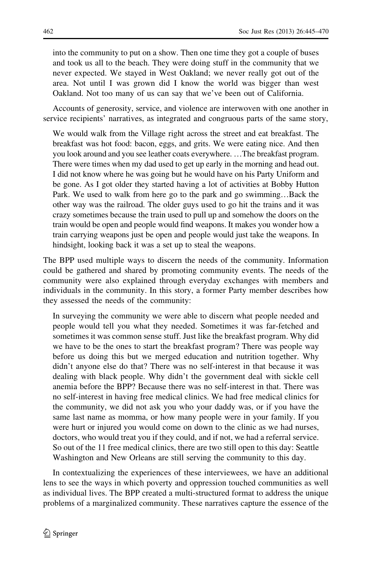into the community to put on a show. Then one time they got a couple of buses and took us all to the beach. They were doing stuff in the community that we never expected. We stayed in West Oakland; we never really got out of the area. Not until I was grown did I know the world was bigger than west Oakland. Not too many of us can say that we've been out of California.

Accounts of generosity, service, and violence are interwoven with one another in service recipients' narratives, as integrated and congruous parts of the same story,

We would walk from the Village right across the street and eat breakfast. The breakfast was hot food: bacon, eggs, and grits. We were eating nice. And then you look around and you see leather coats everywhere. …The breakfast program. There were times when my dad used to get up early in the morning and head out. I did not know where he was going but he would have on his Party Uniform and be gone. As I got older they started having a lot of activities at Bobby Hutton Park. We used to walk from here go to the park and go swimming…Back the other way was the railroad. The older guys used to go hit the trains and it was crazy sometimes because the train used to pull up and somehow the doors on the train would be open and people would find weapons. It makes you wonder how a train carrying weapons just be open and people would just take the weapons. In hindsight, looking back it was a set up to steal the weapons.

The BPP used multiple ways to discern the needs of the community. Information could be gathered and shared by promoting community events. The needs of the community were also explained through everyday exchanges with members and individuals in the community. In this story, a former Party member describes how they assessed the needs of the community:

In surveying the community we were able to discern what people needed and people would tell you what they needed. Sometimes it was far-fetched and sometimes it was common sense stuff. Just like the breakfast program. Why did we have to be the ones to start the breakfast program? There was people way before us doing this but we merged education and nutrition together. Why didn't anyone else do that? There was no self-interest in that because it was dealing with black people. Why didn't the government deal with sickle cell anemia before the BPP? Because there was no self-interest in that. There was no self-interest in having free medical clinics. We had free medical clinics for the community, we did not ask you who your daddy was, or if you have the same last name as momma, or how many people were in your family. If you were hurt or injured you would come on down to the clinic as we had nurses, doctors, who would treat you if they could, and if not, we had a referral service. So out of the 11 free medical clinics, there are two still open to this day: Seattle Washington and New Orleans are still serving the community to this day.

In contextualizing the experiences of these interviewees, we have an additional lens to see the ways in which poverty and oppression touched communities as well as individual lives. The BPP created a multi-structured format to address the unique problems of a marginalized community. These narratives capture the essence of the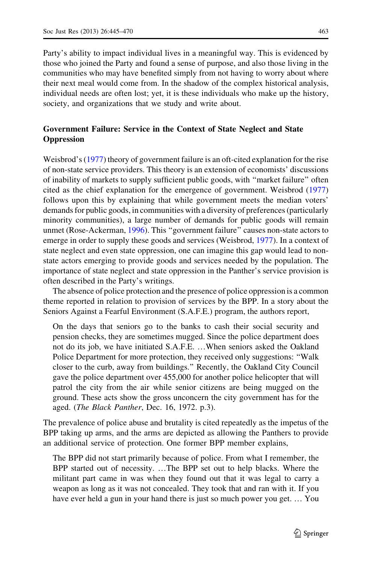Party's ability to impact individual lives in a meaningful way. This is evidenced by those who joined the Party and found a sense of purpose, and also those living in the communities who may have benefited simply from not having to worry about where their next meal would come from. In the shadow of the complex historical analysis, individual needs are often lost; yet, it is these individuals who make up the history, society, and organizations that we study and write about.

# Government Failure: Service in the Context of State Neglect and State **Oppression**

Weisbrod's [\(1977](#page-25-0)) theory of government failure is an oft-cited explanation for the rise of non-state service providers. This theory is an extension of economists' discussions of inability of markets to supply sufficient public goods, with ''market failure'' often cited as the chief explanation for the emergence of government. Weisbrod [\(1977](#page-25-0)) follows upon this by explaining that while government meets the median voters' demands for public goods, in communities with a diversity of preferences (particularly minority communities), a large number of demands for public goods will remain unmet (Rose-Ackerman, [1996\)](#page-24-0). This ''government failure'' causes non-state actors to emerge in order to supply these goods and services (Weisbrod, [1977\)](#page-25-0). In a context of state neglect and even state oppression, one can imagine this gap would lead to nonstate actors emerging to provide goods and services needed by the population. The importance of state neglect and state oppression in the Panther's service provision is often described in the Party's writings.

The absence of police protection and the presence of police oppression is a common theme reported in relation to provision of services by the BPP. In a story about the Seniors Against a Fearful Environment (S.A.F.E.) program, the authors report,

On the days that seniors go to the banks to cash their social security and pension checks, they are sometimes mugged. Since the police department does not do its job, we have initiated S.A.F.E. …When seniors asked the Oakland Police Department for more protection, they received only suggestions: ''Walk closer to the curb, away from buildings.'' Recently, the Oakland City Council gave the police department over 455,000 for another police helicopter that will patrol the city from the air while senior citizens are being mugged on the ground. These acts show the gross unconcern the city government has for the aged. (The Black Panther, Dec. 16, 1972. p.3).

The prevalence of police abuse and brutality is cited repeatedly as the impetus of the BPP taking up arms, and the arms are depicted as allowing the Panthers to provide an additional service of protection. One former BPP member explains,

The BPP did not start primarily because of police. From what I remember, the BPP started out of necessity. …The BPP set out to help blacks. Where the militant part came in was when they found out that it was legal to carry a weapon as long as it was not concealed. They took that and ran with it. If you have ever held a gun in your hand there is just so much power you get. … You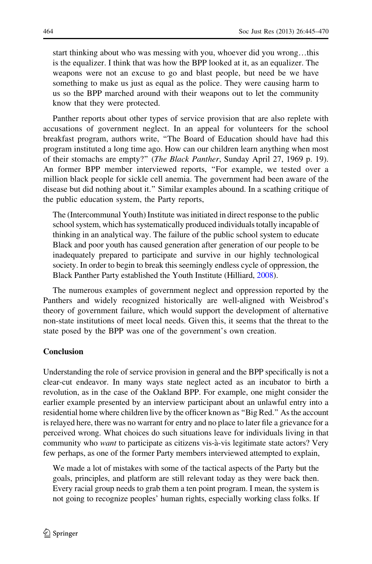start thinking about who was messing with you, whoever did you wrong…this is the equalizer. I think that was how the BPP looked at it, as an equalizer. The weapons were not an excuse to go and blast people, but need be we have something to make us just as equal as the police. They were causing harm to us so the BPP marched around with their weapons out to let the community know that they were protected.

Panther reports about other types of service provision that are also replete with accusations of government neglect. In an appeal for volunteers for the school breakfast program, authors write, ''The Board of Education should have had this program instituted a long time ago. How can our children learn anything when most of their stomachs are empty?'' (The Black Panther, Sunday April 27, 1969 p. 19). An former BPP member interviewed reports, ''For example, we tested over a million black people for sickle cell anemia. The government had been aware of the disease but did nothing about it.'' Similar examples abound. In a scathing critique of the public education system, the Party reports,

The (Intercommunal Youth) Institute was initiated in direct response to the public school system, which has systematically produced individuals totally incapable of thinking in an analytical way. The failure of the public school system to educate Black and poor youth has caused generation after generation of our people to be inadequately prepared to participate and survive in our highly technological society. In order to begin to break this seemingly endless cycle of oppression, the Black Panther Party established the Youth Institute (Hilliard, [2008](#page-24-0)).

The numerous examples of government neglect and oppression reported by the Panthers and widely recognized historically are well-aligned with Weisbrod's theory of government failure, which would support the development of alternative non-state institutions of meet local needs. Given this, it seems that the threat to the state posed by the BPP was one of the government's own creation.

# Conclusion

Understanding the role of service provision in general and the BPP specifically is not a clear-cut endeavor. In many ways state neglect acted as an incubator to birth a revolution, as in the case of the Oakland BPP. For example, one might consider the earlier example presented by an interview participant about an unlawful entry into a residential home where children live by the officer known as ''Big Red.'' As the account is relayed here, there was no warrant for entry and no place to later file a grievance for a perceived wrong. What choices do such situations leave for individuals living in that community who *want* to participate as citizens vis-à-vis legitimate state actors? Very few perhaps, as one of the former Party members interviewed attempted to explain,

We made a lot of mistakes with some of the tactical aspects of the Party but the goals, principles, and platform are still relevant today as they were back then. Every racial group needs to grab them a ten point program. I mean, the system is not going to recognize peoples' human rights, especially working class folks. If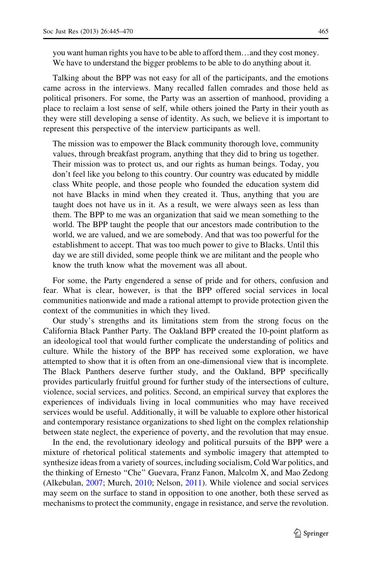you want human rights you have to be able to afford them…and they cost money. We have to understand the bigger problems to be able to do anything about it.

Talking about the BPP was not easy for all of the participants, and the emotions came across in the interviews. Many recalled fallen comrades and those held as political prisoners. For some, the Party was an assertion of manhood, providing a place to reclaim a lost sense of self, while others joined the Party in their youth as they were still developing a sense of identity. As such, we believe it is important to represent this perspective of the interview participants as well.

The mission was to empower the Black community thorough love, community values, through breakfast program, anything that they did to bring us together. Their mission was to protect us, and our rights as human beings. Today, you don't feel like you belong to this country. Our country was educated by middle class White people, and those people who founded the education system did not have Blacks in mind when they created it. Thus, anything that you are taught does not have us in it. As a result, we were always seen as less than them. The BPP to me was an organization that said we mean something to the world. The BPP taught the people that our ancestors made contribution to the world, we are valued, and we are somebody. And that was too powerful for the establishment to accept. That was too much power to give to Blacks. Until this day we are still divided, some people think we are militant and the people who know the truth know what the movement was all about.

For some, the Party engendered a sense of pride and for others, confusion and fear. What is clear, however, is that the BPP offered social services in local communities nationwide and made a rational attempt to provide protection given the context of the communities in which they lived.

Our study's strengths and its limitations stem from the strong focus on the California Black Panther Party. The Oakland BPP created the 10-point platform as an ideological tool that would further complicate the understanding of politics and culture. While the history of the BPP has received some exploration, we have attempted to show that it is often from an one-dimensional view that is incomplete. The Black Panthers deserve further study, and the Oakland, BPP specifically provides particularly fruitful ground for further study of the intersections of culture, violence, social services, and politics. Second, an empirical survey that explores the experiences of individuals living in local communities who may have received services would be useful. Additionally, it will be valuable to explore other historical and contemporary resistance organizations to shed light on the complex relationship between state neglect, the experience of poverty, and the revolution that may ensue.

In the end, the revolutionary ideology and political pursuits of the BPP were a mixture of rhetorical political statements and symbolic imagery that attempted to synthesize ideas from a variety of sources, including socialism, Cold War politics, and the thinking of Ernesto ''Che'' Guevara, Franz Fanon, Malcolm X, and Mao Zedong (Alkebulan, [2007](#page-23-0); Murch, [2010](#page-24-0); Nelson, [2011\)](#page-24-0). While violence and social services may seem on the surface to stand in opposition to one another, both these served as mechanisms to protect the community, engage in resistance, and serve the revolution.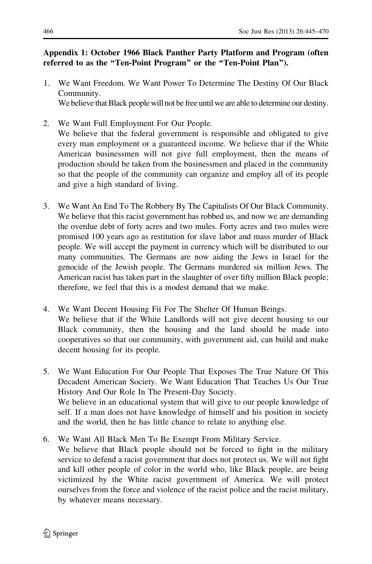# <span id="page-21-0"></span>Appendix 1: October 1966 Black Panther Party Platform and Program (often referred to as the "Ten-Point Program" or the "Ten-Point Plan").

1. We Want Freedom. We Want Power To Determine The Destiny Of Our Black Community.

We believe that Black people will not be free until we are able to determine our destiny.

- 2. We Want Full Employment For Our People. We believe that the federal government is responsible and obligated to give every man employment or a guaranteed income. We believe that if the White American businessmen will not give full employment, then the means of production should be taken from the businessmen and placed in the community so that the people of the community can organize and employ all of its people and give a high standard of living.
- 3. We Want An End To The Robbery By The Capitalists Of Our Black Community. We believe that this racist government has robbed us, and now we are demanding the overdue debt of forty acres and two mules. Forty acres and two mules were promised 100 years ago as restitution for slave labor and mass murder of Black people. We will accept the payment in currency which will be distributed to our many communities. The Germans are now aiding the Jews in Israel for the genocide of the Jewish people. The Germans murdered six million Jews. The American racist has taken part in the slaughter of over fifty million Black people; therefore, we feel that this is a modest demand that we make.
- 4. We Want Decent Housing Fit For The Shelter Of Human Beings. We believe that if the White Landlords will not give decent housing to our Black community, then the housing and the land should be made into cooperatives so that our community, with government aid, can build and make decent housing for its people.
- 5. We Want Education For Our People That Exposes The True Nature Of This Decadent American Society. We Want Education That Teaches Us Our True History And Our Role In The Present-Day Society. We believe in an educational system that will give to our people knowledge of self. If a man does not have knowledge of himself and his position in society and the world, then he has little chance to relate to anything else.
- 6. We Want All Black Men To Be Exempt From Military Service. We believe that Black people should not be forced to fight in the military service to defend a racist government that does not protect us. We will not fight and kill other people of color in the world who, like Black people, are being victimized by the White racist government of America. We will protect ourselves from the force and violence of the racist police and the racist military, by whatever means necessary.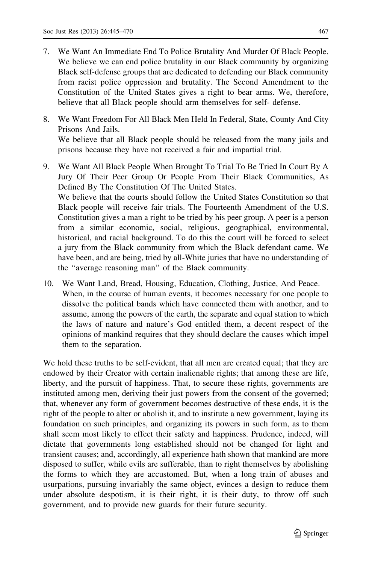- 7. We Want An Immediate End To Police Brutality And Murder Of Black People. We believe we can end police brutality in our Black community by organizing Black self-defense groups that are dedicated to defending our Black community from racist police oppression and brutality. The Second Amendment to the Constitution of the United States gives a right to bear arms. We, therefore, believe that all Black people should arm themselves for self- defense.
- 8. We Want Freedom For All Black Men Held In Federal, State, County And City Prisons And Jails. We believe that all Black people should be released from the many jails and prisons because they have not received a fair and impartial trial.
- 9. We Want All Black People When Brought To Trial To Be Tried In Court By A Jury Of Their Peer Group Or People From Their Black Communities, As Defined By The Constitution Of The United States. We believe that the courts should follow the United States Constitution so that Black people will receive fair trials. The Fourteenth Amendment of the U.S. Constitution gives a man a right to be tried by his peer group. A peer is a person from a similar economic, social, religious, geographical, environmental, historical, and racial background. To do this the court will be forced to select a jury from the Black community from which the Black defendant came. We have been, and are being, tried by all-White juries that have no understanding of the ''average reasoning man'' of the Black community.
- 10. We Want Land, Bread, Housing, Education, Clothing, Justice, And Peace. When, in the course of human events, it becomes necessary for one people to dissolve the political bands which have connected them with another, and to assume, among the powers of the earth, the separate and equal station to which the laws of nature and nature's God entitled them, a decent respect of the opinions of mankind requires that they should declare the causes which impel them to the separation.

We hold these truths to be self-evident, that all men are created equal; that they are endowed by their Creator with certain inalienable rights; that among these are life, liberty, and the pursuit of happiness. That, to secure these rights, governments are instituted among men, deriving their just powers from the consent of the governed; that, whenever any form of government becomes destructive of these ends, it is the right of the people to alter or abolish it, and to institute a new government, laying its foundation on such principles, and organizing its powers in such form, as to them shall seem most likely to effect their safety and happiness. Prudence, indeed, will dictate that governments long established should not be changed for light and transient causes; and, accordingly, all experience hath shown that mankind are more disposed to suffer, while evils are sufferable, than to right themselves by abolishing the forms to which they are accustomed. But, when a long train of abuses and usurpations, pursuing invariably the same object, evinces a design to reduce them under absolute despotism, it is their right, it is their duty, to throw off such government, and to provide new guards for their future security.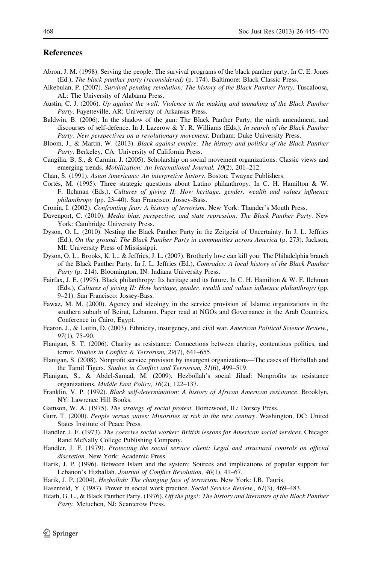#### <span id="page-23-0"></span>References

- Abron, J. M. (1998). Serving the people: The survival programs of the black panther party. In C. E. Jones (Ed.), The black panther party (reconsidered) (p. 174). Baltimore: Black Classic Press.
- Alkebulan, P. (2007). Survival pending revolution: The history of the Black Panther Party. Tuscaloosa, AL: The University of Alabama Press.
- Austin, C. J. (2006). Up against the wall: Violence in the making and unmaking of the Black Panther Party. Fayetteville, AR: University of Arkansas Press.
- Baldwin, B. (2006). In the shadow of the gun: The Black Panther Party, the ninth amendment, and discourses of self-defence. In J. Lazerow & Y. R. Williams (Eds.), In search of the Black Panther Party: New perspectives on a revolutionary movement. Durham: Duke University Press.
- Bloom, J., & Martin, W. (2013). Black against empire: The history and politics of the Black Panther Party. Berkeley, CA: University of California Press.
- Cangilia, B. S., & Carmin, J. (2005). Scholarship on social movement organizations: Classic views and emerging trends. Mobilization: An International Journal, 10(2), 201–212.
- Chan, S. (1991). Asian Americans: An interpretive history. Boston: Twayne Publishers.
- Cortés, M. (1995). Three strategic questions about Latino philanthropy. In C. H. Hamilton & W. F. Ilchman (Eds.), Cultures of giving II: How heritage, gender, wealth and values influence philanthropy (pp. 23–40). San Francisco: Jossey-Bass.
- Cronin, I. (2002). Confronting fear: A history of terrorism. New York: Thunder's Mouth Press.
- Davenport, C. (2010). Media bias, perspective, and state repression: The Black Panther Party. New York: Cambridge University Press.
- Dyson, O. L. (2010). Nesting the Black Panther Party in the Zeitgeist of Uncertainty. In J. L. Jeffries (Ed.), On the ground: The Black Panther Party in communities across America (p. 273). Jackson, MI: University Press of Mississippi.
- Dyson, O. L., Brooks, K. L., & Jeffries, J. L. (2007). Brotherly love can kill you: The Philadelphia branch of the Black Panther Party. In J. L. Jeffries (Ed.), Comrades: A local history of the Black Panther Party (p. 214). Bloomington, IN: Indiana University Press.
- Fairfax, J. E. (1995). Black philanthropy: Its heritage and its future. In C. H. Hamilton & W. F. Ilchman (Eds.), Cultures of giving II: How heritage, gender, wealth and values influence philanthropy (pp. 9–21). San Francisco: Jossey-Bass.
- Fawaz, M. M. (2000). Agency and ideology in the service provision of Islamic organizations in the southern suburb of Beirut, Lebanon. Paper read at NGOs and Governance in the Arab Countries, Conference in Cairo, Egypt.
- Fearon, J., & Laitin, D. (2003). Ethnicity, insurgency, and civil war. American Political Science Review., 97(1), 75–90.
- Flanigan, S. T. (2006). Charity as resistance: Connections between charity, contentious politics, and terror. Studies in Conflict & Terrorism, 29(7), 641–655.
- Flanigan, S. (2008). Nonprofit service provision by insurgent organizations—The cases of Hizballah and the Tamil Tigers. Studies in Conflict and Terrorism, 31(6), 499–519.
- Flanigan, S., & Abdel-Samad, M. (2009). Hezbollah's social Jihad: Nonprofits as resistance organizations. Middle East Policy, 16(2), 122–137.
- Franklin, V. P. (1992). Black self-determination: A history of African American resistance. Brooklyn, NY: Lawrence Hill Books.
- Gamson, W. A. (1975). The strategy of social protest. Homewood, IL: Dorsey Press.
- Gurr, T. (2000). People versus states: Minorities at risk in the new century. Washington, DC: United States Institute of Peace Press.
- Handler, J. F. (1973). The coercive social worker: British lessons for American social services. Chicago: Rand McNally College Publishing Company.
- Handler, J. F. (1979). Protecting the social service client: Legal and structural controls on official discretion. New York: Academic Press.
- Harik, J. P. (1996). Between Islam and the system: Sources and implications of popular support for Lebanon's Hizballah. Journal of Conflict Resolution, 40(1), 41–67.
- Harik, J. P. (2004). Hezbollah: The changing face of terrorism. New York: I.B. Tauris.
- Hasenfeld, Y. (1987). Power in social work practice. Social Service Review., 61(3), 469–483.
- Heath, G. L., & Black Panther Party. (1976). Off the pigs!: The history and literature of the Black Panther Party. Metuchen, NJ: Scarecrow Press.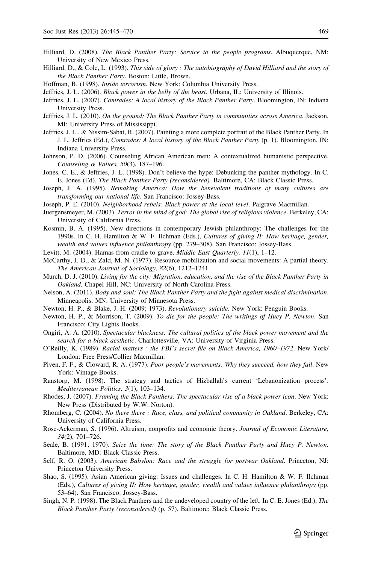- <span id="page-24-0"></span>Hilliard, D. (2008). The Black Panther Party: Service to the people programs. Albuquerque, NM: University of New Mexico Press.
- Hilliard, D., & Cole, L. (1993). This side of glory : The autobiography of David Hilliard and the story of the Black Panther Party. Boston: Little, Brown.
- Hoffman, B. (1998). Inside terrorism. New York: Columbia University Press.
- Jeffries, J. L. (2006). Black power in the belly of the beast. Urbana, IL: University of Illinois.
- Jeffries, J. L. (2007). Comrades: A local history of the Black Panther Party. Bloomington, IN: Indiana University Press.
- Jeffries, J. L. (2010). On the ground: The Black Panther Party in communities across America. Jackson, MI: University Press of Mississippi.
- Jeffries, J. L., & Nissim-Sabat, R. (2007). Painting a more complete portrait of the Black Panther Party. In J. L. Jeffries (Ed.), Comrades: A local history of the Black Panther Party (p. 1). Bloomington, IN: Indiana University Press.
- Johnson, P. D. (2006). Counseling African American men: A contextualized humanistic perspective. Counseling & Values, 50(3), 187–196.
- Jones, C. E., & Jeffries, J. L. (1998). Don't believe the hype: Debunking the panther mythology. In C. E. Jones (Ed), The Black Panther Party (reconsidered). Baltimore, CA: Black Classic Press.
- Joseph, J. A. (1995). Remaking America: How the benevolent traditions of many cultures are transforming our national life. San Francisco: Jossey-Bass.
- Joseph, P. E. (2010). Neighborhood rebels: Black power at the local level. Palgrave Macmillan.
- Juergensmeyer, M. (2003). Terror in the mind of god: The global rise of religious violence. Berkeley, CA: University of California Press.
- Kosmin, B. A. (1995). New directions in contemporary Jewish philanthropy: The challenges for the 1990s. In C. H. Hamilton & W. F. Ilchman (Eds.), Cultures of giving II: How heritage, gender, wealth and values influence philanthropy (pp. 279–308). San Francisco: Jossey-Bass.
- Levitt, M. (2004). Hamas from cradle to grave. *Middle East Quarterly, 11*(1), 1–12.
- McCarthy, J. D., & Zald, M. N. (1977). Resource mobilization and social movements: A partial theory. The American Journal of Sociology, 82(6), 1212–1241.
- Murch, D. J. (2010). Living for the city: Migration, education, and the rise of the Black Panther Party in Oakland. Chapel Hill, NC: University of North Carolina Press.
- Nelson, A. (2011). Body and soul: The Black Panther Party and the fight against medical discrimination. Minneapolis, MN: University of Minnesota Press.
- Newton, H. P., & Blake, J. H. (2009; 1973). Revolutionary suicide. New York: Penguin Books.
- Newton, H. P., & Morrison, T. (2009). To die for the people: The writings of Huey P. Newton. San Francisco: City Lights Books.
- Ongiri, A. A. (2010). Spectacular blackness: The cultural politics of the black power movement and the search for a black aesthetic. Charlottesville, VA: University of Virginia Press.
- O'Reilly, K. (1989). Racial matters : the FBI's secret file on Black America, 1960–1972. New York/ London: Free Press/Collier Macmillan.
- Piven, F. F., & Cloward, R. A. (1977). Poor people's movements: Why they succeed, how they fail. New York: Vintage Books.
- Ranstorp, M. (1998). The strategy and tactics of Hizballah's current 'Lebanonization process'. Mediterranean Politics, 3(1), 103–134.
- Rhodes, J. (2007). Framing the Black Panthers: The spectacular rise of a black power icon. New York: New Press (Distributed by W.W. Norton).
- Rhomberg, C. (2004). No there there : Race, class, and political community in Oakland. Berkeley, CA: University of California Press.
- Rose-Ackerman, S. (1996). Altruism, nonprofits and economic theory. Journal of Economic Literature, 34(2), 701–726.
- Seale, B. (1991; 1970). Seize the time: The story of the Black Panther Party and Huey P. Newton. Baltimore, MD: Black Classic Press.
- Self, R. O. (2003). American Babylon: Race and the struggle for postwar Oakland. Princeton, NJ: Princeton University Press.
- Shao, S. (1995). Asian American giving: Issues and challenges. In C. H. Hamilton & W. F. Ilchman (Eds.), Cultures of giving II: How heritage, gender, wealth and values influence philanthropy (pp. 53–64). San Francisco: Jossey-Bass.
- Singh, N. P. (1998). The Black Panthers and the undeveloped country of the left. In C. E. Jones (Ed.), The Black Panther Party (reconsidered) (p. 57). Baltimore: Black Classic Press.